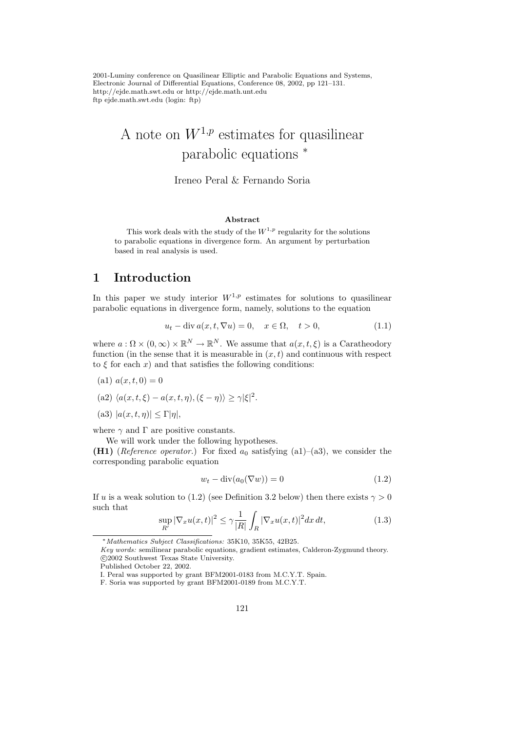2001-Luminy conference on Quasilinear Elliptic and Parabolic Equations and Systems, Electronic Journal of Differential Equations, Conference 08, 2002, pp 121–131. http://ejde.math.swt.edu or http://ejde.math.unt.edu ftp ejde.math.swt.edu (login: ftp)

# A note on  $W^{1,p}$  estimates for quasilinear parabolic equations <sup>∗</sup>

#### Ireneo Peral & Fernando Soria

#### Abstract

This work deals with the study of the  $W^{1,p}$  regularity for the solutions to parabolic equations in divergence form. An argument by perturbation based in real analysis is used.

#### 1 Introduction

In this paper we study interior  $W^{1,p}$  estimates for solutions to quasilinear parabolic equations in divergence form, namely, solutions to the equation

$$
u_t - \operatorname{div} a(x, t, \nabla u) = 0, \quad x \in \Omega, \quad t > 0,
$$
\n(1.1)

where  $a : \Omega \times (0, \infty) \times \mathbb{R}^N \to \mathbb{R}^N$ . We assume that  $a(x, t, \xi)$  is a Caratheodory function (in the sense that it is measurable in  $(x, t)$  and continuous with respect to  $\xi$  for each x) and that satisfies the following conditions:

- (a1)  $a(x, t, 0) = 0$
- (a2)  $\langle a(x, t, \xi) a(x, t, \eta),(\xi \eta) \rangle \geq \gamma |\xi|^2$ .
- (a3)  $|a(x, t, \eta)| \leq \Gamma |\eta|$ ,

where  $\gamma$  and  $\Gamma$  are positive constants.

We will work under the following hypotheses.

(H1) (Reference operator.) For fixed  $a_0$  satisfying (a1)–(a3), we consider the corresponding parabolic equation

$$
w_t - \operatorname{div}(a_0(\nabla w)) = 0 \tag{1.2}
$$

If u is a weak solution to (1.2) (see Definition 3.2 below) then there exists  $\gamma > 0$ such that

$$
\sup_{R'} |\nabla_x u(x,t)|^2 \le \gamma \frac{1}{|R|} \int_R |\nabla_x u(x,t)|^2 dx dt,
$$
\n(1.3)

Published October 22, 2002.

<sup>∗</sup>Mathematics Subject Classifications: 35K10, 35K55, 42B25.

Key words: semilinear parabolic equations, gradient estimates, Calderon-Zygmund theory. c 2002 Southwest Texas State University.

I. Peral was supported by grant BFM2001-0183 from M.C.Y.T. Spain.

F. Soria was supported by grant BFM2001-0189 from M.C.Y.T.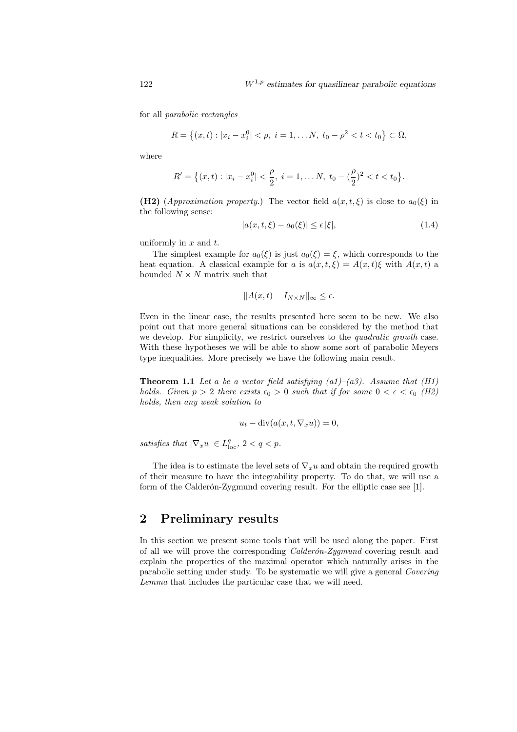for all parabolic rectangles

$$
R = \{(x, t) : |x_i - x_i^0| < \rho, \ i = 1, \dots N, \ t_0 - \rho^2 < t < t_0\} \subset \Omega,
$$

where

$$
R' = \{(x,t): |x_i - x_i^0| < \frac{\rho}{2}, \ i = 1, \dots N, \ t_0 - \left(\frac{\rho}{2}\right)^2 < t < t_0\}.
$$

(H2) (Approximation property.) The vector field  $a(x, t, \xi)$  is close to  $a_0(\xi)$  in the following sense:

$$
|a(x, t, \xi) - a_0(\xi)| \le \epsilon |\xi|,
$$
\n(1.4)

uniformly in  $x$  and  $t$ .

The simplest example for  $a_0(\xi)$  is just  $a_0(\xi) = \xi$ , which corresponds to the heat equation. A classical example for a is  $a(x, t, \xi) = A(x, t)\xi$  with  $A(x, t)$  a bounded  $N \times N$  matrix such that

$$
||A(x,t) - I_{N \times N}||_{\infty} \le \epsilon.
$$

Even in the linear case, the results presented here seem to be new. We also point out that more general situations can be considered by the method that we develop. For simplicity, we restrict ourselves to the *quadratic growth* case. With these hypotheses we will be able to show some sort of parabolic Meyers type inequalities. More precisely we have the following main result.

**Theorem 1.1** Let a be a vector field satisfying  $(a1)$ – $(a3)$ . Assume that  $(H1)$ holds. Given  $p > 2$  there exists  $\epsilon_0 > 0$  such that if for some  $0 < \epsilon < \epsilon_0$  (H2) holds, then any weak solution to

$$
u_t - \operatorname{div}(a(x, t, \nabla_x u)) = 0,
$$

satisfies that  $|\nabla_x u| \in L^q_{loc}$ ,  $2 < q < p$ .

The idea is to estimate the level sets of  $\nabla_x u$  and obtain the required growth of their measure to have the integrability property. To do that, we will use a form of the Calderón-Zygmund covering result. For the elliptic case see [1].

#### 2 Preliminary results

In this section we present some tools that will be used along the paper. First of all we will prove the corresponding  $Calder\'on-Zygmund$  covering result and explain the properties of the maximal operator which naturally arises in the parabolic setting under study. To be systematic we will give a general Covering Lemma that includes the particular case that we will need.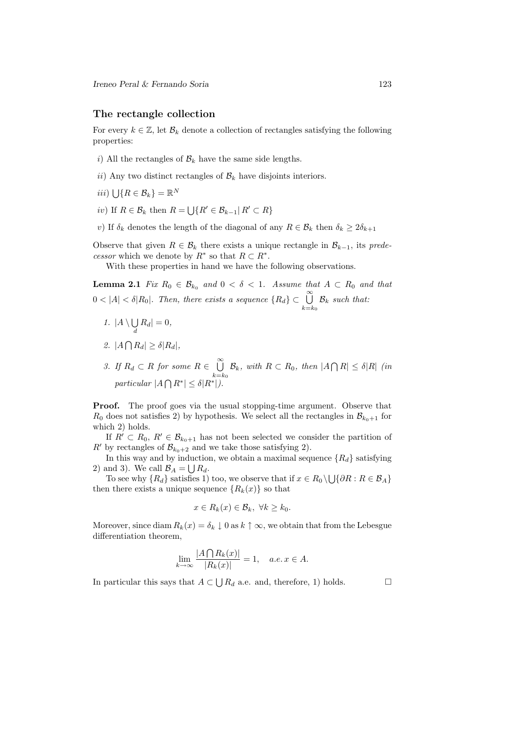#### The rectangle collection

For every  $k \in \mathbb{Z}$ , let  $\mathcal{B}_k$  denote a collection of rectangles satisfying the following properties:

- i) All the rectangles of  $\mathcal{B}_k$  have the same side lengths.
- ii) Any two distinct rectangles of  $\mathcal{B}_k$  have disjoints interiors.
- $iii) \bigcup \{ R \in \mathcal{B}_k \} = \mathbb{R}^N$
- iv) If  $R \in \mathcal{B}_k$  then  $R = \bigcup \{ R' \in \mathcal{B}_{k-1} | R' \subset R \}$
- v) If  $\delta_k$  denotes the length of the diagonal of any  $R \in \mathcal{B}_k$  then  $\delta_k \geq 2\delta_{k+1}$

Observe that given  $R \in \mathcal{B}_k$  there exists a unique rectangle in  $\mathcal{B}_{k-1}$ , its predecessor which we denote by  $R^*$  so that  $R \subset R^*$ .

With these properties in hand we have the following observations.

**Lemma 2.1** Fix  $R_0 \in \mathcal{B}_{k_0}$  and  $0 < \delta < 1$ . Assume that  $A \subset R_0$  and that  $0 < |A| < \delta |R_0|$ . Then, there exists a sequence  $\{R_d\} \subset \bigcup_{i=1}^{\infty}$  $B_k$  such that:

 $k=$ k<sub>0</sub>

- 1.  $|A \setminus \bigcup$  $\bigcup_{d} R_d | = 0,$
- 2.  $|A \bigcap R_d| \geq \delta |R_d|$ ,
- 3. If  $R_d \subset R$  for some  $R \in \bigcup^{\infty}$  $k=$  $k_0$  $\mathcal{B}_k$ , with  $R \subset R_0$ , then  $|A \bigcap R| \leq \delta |R|$  (in particular  $|A \bigcap R^*| \leq \delta |R^*|$ .

Proof. The proof goes via the usual stopping-time argument. Observe that  $R_0$  does not satisfies 2) by hypothesis. We select all the rectangles in  $\mathcal{B}_{k_0+1}$  for which 2) holds.

If  $R' \subset R_0, R' \in \mathcal{B}_{k_0+1}$  has not been selected we consider the partition of R' by rectangles of  $\mathcal{B}_{k_0+2}$  and we take those satisfying 2).

In this way and by induction, we obtain a maximal sequence  ${R_d}$  satisfying 2) and 3). We call  $\mathcal{B}_A = \bigcup R_d$ .

To see why  $\{R_d\}$  satisfies 1) too, we observe that if  $x \in R_0 \setminus \bigcup \{ \partial R : R \in \mathcal{B}_A \}$ then there exists a unique sequence  ${R_k(x)}$  so that

$$
x \in R_k(x) \in \mathcal{B}_k, \ \forall k \geq k_0.
$$

Moreover, since diam  $R_k(x) = \delta_k \downarrow 0$  as  $k \uparrow \infty$ , we obtain that from the Lebesgue differentiation theorem,

$$
\lim_{k \to \infty} \frac{|A \bigcap R_k(x)|}{|R_k(x)|} = 1, \quad a.e. \, x \in A.
$$

In particular this says that  $A \subset \bigcup R_d$  a.e. and, therefore, 1) holds.  $\square$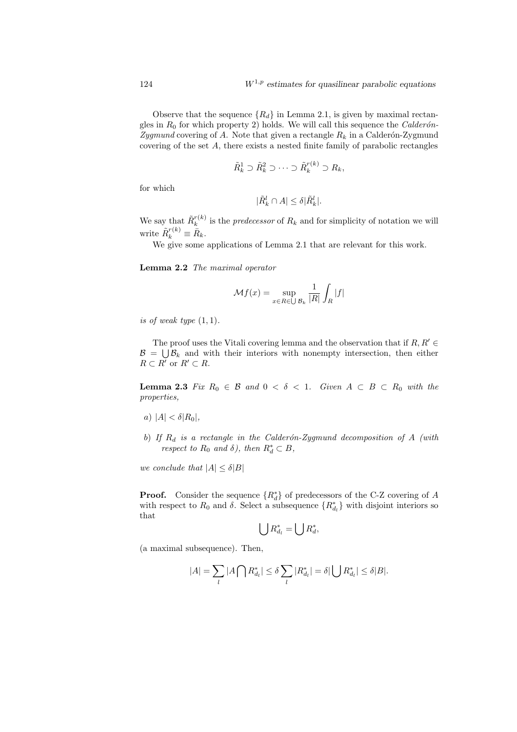Observe that the sequence  ${R_d}$  in Lemma 2.1, is given by maximal rectangles in  $R_0$  for which property 2) holds. We will call this sequence the *Calderón*-Zygmund covering of A. Note that given a rectangle  $R_k$  in a Calderón-Zygmund covering of the set A, there exists a nested finite family of parabolic rectangles

$$
\tilde{R}_k^1 \supset \tilde{R}_k^2 \supset \cdots \supset \tilde{R}_k^{r(k)} \supset R_k,
$$

for which

$$
|\tilde{R}_k^l \cap A| \le \delta |\tilde{R}_k^l|.
$$

We say that  $\tilde{R}_k^{r(k)}$  $\binom{n(k)}{k}$  is the *predecessor* of  $R_k$  and for simplicity of notation we will write  $\tilde{R}_k^{r(k)} \equiv \bar{R}_k$ .

We give some applications of Lemma 2.1 that are relevant for this work.

Lemma 2.2 The maximal operator

$$
\mathcal{M}f(x) = \sup_{x \in R \in \bigcup \mathcal{B}_k} \frac{1}{|R|} \int_R |f|
$$

is of weak type  $(1, 1)$ .

The proof uses the Vitali covering lemma and the observation that if  $R, R' \in$  $\mathcal{B} = \bigcup \mathcal{B}_k$  and with their interiors with nonempty intersection, then either  $R \subset R'$  or  $R' \subset R$ .

**Lemma 2.3** Fix  $R_0 \in \mathcal{B}$  and  $0 < \delta < 1$ . Given  $A \subset B \subset R_0$  with the properties,

- a)  $|A| < \delta |R_0|$ ,
- b) If  $R_d$  is a rectangle in the Calderón-Zygmund decomposition of A (with respect to  $R_0$  and  $\delta$ ), then  $R_d^* \subset B$ ,

we conclude that  $|A| \leq \delta |B|$ 

**Proof.** Consider the sequence  $\{R_d^*\}$  of predecessors of the C-Z covering of A with respect to  $R_0$  and  $\delta$ . Select a subsequence  $\{R_{d_l}^*\}$  with disjoint interiors so that

$$
\bigcup R_{d_l}^* = \bigcup R_d^*,
$$

(a maximal subsequence). Then,

$$
|A| = \sum_{l} |A \bigcap R^*_{d_l}| \le \delta \sum_{l} |R^*_{d_l}| = \delta |\bigcup R^*_{d_l}| \le \delta |B|.
$$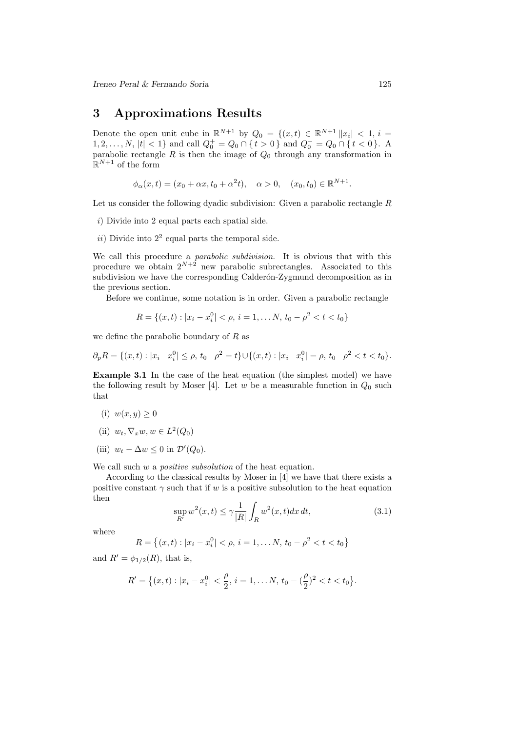### 3 Approximations Results

Denote the open unit cube in  $\mathbb{R}^{N+1}$  by  $Q_0 = \{(x,t) \in \mathbb{R}^{N+1} | |x_i| < 1, i =$ 1, 2, ..., N, |t| < 1} and call  $Q_0^+ = Q_0 \cap \{t > 0\}$  and  $Q_0^- = Q_0 \cap \{t < 0\}$ . A parabolic rectangle  $R$  is then the image of  $Q_0$  through any transformation in  $\mathbb{R}^{N+1}$  of the form

$$
\phi_{\alpha}(x,t) = (x_0 + \alpha x, t_0 + \alpha^2 t), \quad \alpha > 0, \quad (x_0, t_0) \in \mathbb{R}^{N+1}.
$$

Let us consider the following dyadic subdivision: Given a parabolic rectangle  $R$ 

- i) Divide into 2 equal parts each spatial side.
- $ii)$  Divide into  $2<sup>2</sup>$  equal parts the temporal side.

We call this procedure a *parabolic subdivision*. It is obvious that with this procedure we obtain  $2^{N+2}$  new parabolic subrectangles. Associated to this subdivision we have the corresponding Calderón-Zygmund decomposition as in the previous section.

Before we continue, some notation is in order. Given a parabolic rectangle

$$
R = \{(x, t) : |x_i - x_i^0| < \rho, \, i = 1, \dots N, \, t_0 - \rho^2 < t < t_0\}
$$

we define the parabolic boundary of  $R$  as

$$
\partial_p R = \{(x, t) : |x_i - x_i^0| \le \rho, \, t_0 - \rho^2 = t\} \cup \{(x, t) : |x_i - x_i^0| = \rho, \, t_0 - \rho^2 < t < t_0\}.
$$

Example 3.1 In the case of the heat equation (the simplest model) we have the following result by Moser [4]. Let w be a measurable function in  $Q_0$  such that

- (i)  $w(x, y) \geq 0$
- (ii)  $w_t, \nabla_x w, w \in L^2(Q_0)$
- (iii)  $w_t \Delta w \leq 0$  in  $\mathcal{D}'(Q_0)$ .

We call such  $w$  a *positive subsolution* of the heat equation.

According to the classical results by Moser in [4] we have that there exists a positive constant  $\gamma$  such that if w is a positive subsolution to the heat equation then

$$
\sup_{R'} w^2(x,t) \le \gamma \frac{1}{|R|} \int_R w^2(x,t) dx dt,
$$
\n(3.1)

where

$$
R = \{(x, t) : |x_i - x_i^0| < \rho, \, i = 1, \dots N, \, t_0 - \rho^2 < t < t_0\}
$$

and  $R' = \phi_{1/2}(R)$ , that is,

$$
R' = \left\{ (x, t) : |x_i - x_i^0| < \frac{\rho}{2}, \, i = 1, \dots N, \, t_0 - \left(\frac{\rho}{2}\right)^2 < t < t_0 \right\}.
$$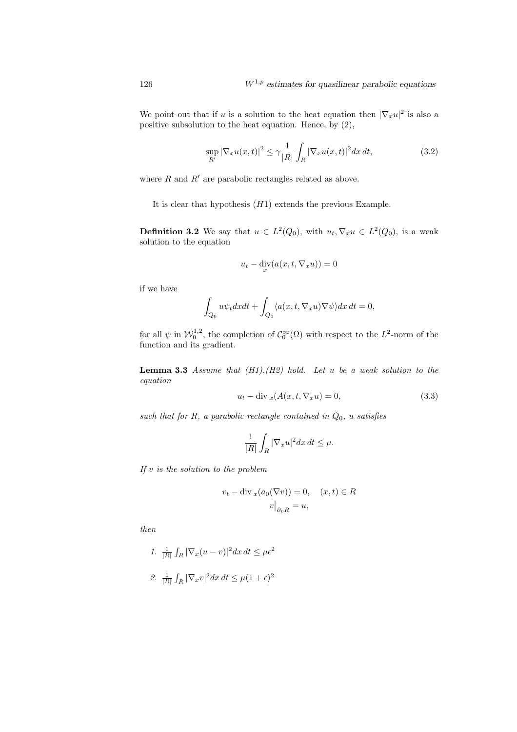We point out that if u is a solution to the heat equation then  $|\nabla_x u|^2$  is also a positive subsolution to the heat equation. Hence, by (2),

$$
\sup_{R'} |\nabla_x u(x,t)|^2 \le \gamma \frac{1}{|R|} \int_R |\nabla_x u(x,t)|^2 dx dt,
$$
\n(3.2)

where  $R$  and  $R'$  are parabolic rectangles related as above.

It is clear that hypothesis  $(H1)$  extends the previous Example.

**Definition 3.2** We say that  $u \in L^2(Q_0)$ , with  $u_t, \nabla_x u \in L^2(Q_0)$ , is a weak solution to the equation

$$
u_t - \operatorname{div}_x(a(x, t, \nabla_x u)) = 0
$$

if we have

$$
\int_{Q_0} u \psi_t dx dt + \int_{Q_0} \langle a(x, t, \nabla_x u) \nabla \psi \rangle dx dt = 0,
$$

for all  $\psi$  in  $\mathcal{W}_0^{1,2}$ , the completion of  $\mathcal{C}_0^{\infty}(\Omega)$  with respect to the  $L^2$ -norm of the function and its gradient.

**Lemma 3.3** Assume that  $(H1), (H2)$  hold. Let u be a weak solution to the equation

$$
u_t - \operatorname{div}_x(A(x, t, \nabla_x u) = 0,\tag{3.3}
$$

such that for R, a parabolic rectangle contained in  $Q_0$ , u satisfies

$$
\frac{1}{|R|}\int_R |\nabla_x u|^2 dx dt \le \mu.
$$

If  $v$  is the solution to the problem

$$
v_t - \operatorname{div}_x(a_0(\nabla v)) = 0, \quad (x, t) \in R
$$

$$
v\big|_{\partial_p R} = u,
$$

then

1. 
$$
\frac{1}{|R|} \int_R |\nabla_x (u - v)|^2 dx dt \le \mu \epsilon^2
$$
  
2. 
$$
\frac{1}{|R|} \int_R |\nabla_x v|^2 dx dt \le \mu (1 + \epsilon)^2
$$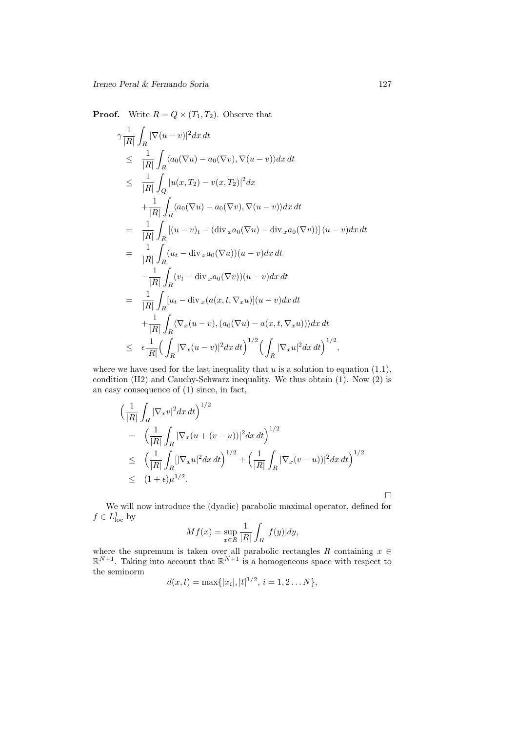**Proof.** Write  $R = Q \times (T_1, T_2)$ . Observe that

$$
\gamma \frac{1}{|R|} \int_{R} |\nabla(u - v)|^2 dx dt
$$
\n
$$
\leq \frac{1}{|R|} \int_{R} \langle a_0(\nabla u) - a_0(\nabla v), \nabla(u - v) \rangle dx dt
$$
\n
$$
\leq \frac{1}{|R|} \int_{Q} |u(x, T_2) - v(x, T_2)|^2 dx
$$
\n
$$
+ \frac{1}{|R|} \int_{R} \langle a_0(\nabla u) - a_0(\nabla v), \nabla(u - v) \rangle dx dt
$$
\n
$$
= \frac{1}{|R|} \int_{R} [(u - v)_t - (\text{div}_x a_0(\nabla u) - \text{div}_x a_0(\nabla v))](u - v) dx dt
$$
\n
$$
= \frac{1}{|R|} \int_{R} (u_t - \text{div}_x a_0(\nabla u))(u - v) dx dt
$$
\n
$$
- \frac{1}{|R|} \int_{R} (v_t - \text{div}_x a_0(\nabla v))(u - v) dx dt
$$
\n
$$
= \frac{1}{|R|} \int_{R} [u_t - \text{div}_x (a(x, t, \nabla_x u)](u - v) dx dt
$$
\n
$$
+ \frac{1}{|R|} \int_{R} \langle \nabla_x (u - v), (a_0(\nabla u) - a(x, t, \nabla_x u)) \rangle dx dt
$$
\n
$$
\leq \epsilon \frac{1}{|R|} (\int_{R} |\nabla_x (u - v)|^2 dx dt)^{1/2} (\int_{R} |\nabla_x u|^2 dx dt)^{1/2},
$$

where we have used for the last inequality that  $u$  is a solution to equation (1.1), condition (H2) and Cauchy-Schwarz inequality. We thus obtain (1). Now (2) is an easy consequence of (1) since, in fact,

$$
\begin{split}\n&\left(\frac{1}{|R|}\int_{R}|\nabla_x v|^2 dx\,dt\right)^{1/2} \\
&= \left(\frac{1}{|R|}\int_{R}|\nabla_x (u+(v-u))|^2 dx\,dt\right)^{1/2} \\
&\leq \left(\frac{1}{|R|}\int_{R}[|\nabla_x u|^2 dx\,dt\right)^{1/2} + \left(\frac{1}{|R|}\int_{R}|\nabla_x (v-u))|^2 dx\,dt\right)^{1/2} \\
&\leq (1+\epsilon)\mu^{1/2}.\n\end{split}
$$

 $\Box$ 

We will now introduce the (dyadic) parabolic maximal operator, defined for  $f \in L^1_{loc}$  by

$$
Mf(x) = \sup_{x \in R} \frac{1}{|R|} \int_{R} |f(y)| dy,
$$

where the supremum is taken over all parabolic rectangles R containing  $x \in$  $\mathbb{R}^{N+1}$ . Taking into account that  $\mathbb{R}^{N+1}$  is a homogeneous space with respect to the seminorm

$$
d(x,t) = \max\{|x_i|, |t|^{1/2}, i = 1, 2...N\},\
$$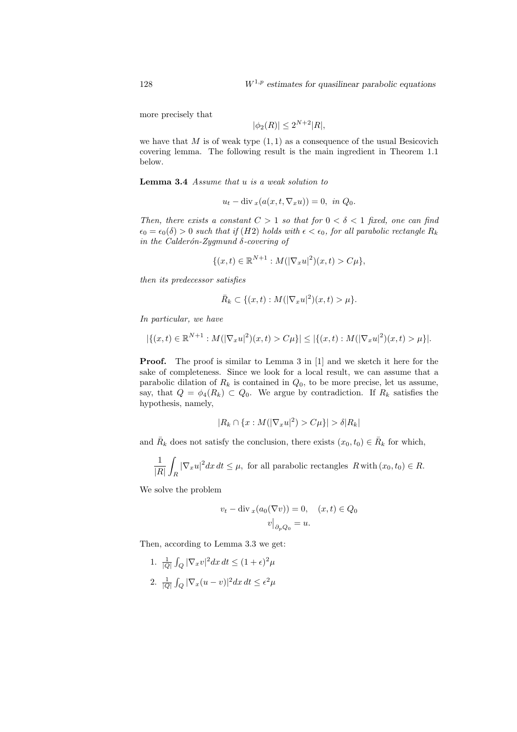more precisely that

$$
|\phi_2(R)| \le 2^{N+2}|R|,
$$

we have that M is of weak type  $(1, 1)$  as a consequence of the usual Besicovich covering lemma. The following result is the main ingredient in Theorem 1.1 below.

Lemma 3.4 Assume that u is a weak solution to

$$
u_t - \operatorname{div}_x(a(x, t, \nabla_x u)) = 0, \text{ in } Q_0.
$$

Then, there exists a constant  $C > 1$  so that for  $0 < \delta < 1$  fixed, one can find  $\epsilon_0 = \epsilon_0(\delta) > 0$  such that if  $(H2)$  holds with  $\epsilon < \epsilon_0$ , for all parabolic rectangle  $R_k$ in the Calderón-Zygmund δ-covering of

$$
\{(x,t) \in \mathbb{R}^{N+1} : M(|\nabla_x u|^2)(x,t) > C\mu\},\
$$

then its predecessor satisfies

$$
\bar{R}_k \subset \{(x,t): M(|\nabla_x u|^2)(x,t) > \mu\}.
$$

In particular, we have

$$
|\{(x,t)\in\mathbb{R}^{N+1}:M(|\nabla_x u|^2)(x,t)>C\mu\}|\leq |\{(x,t):M(|\nabla_x u|^2)(x,t)>\mu\}|.
$$

Proof. The proof is similar to Lemma 3 in [1] and we sketch it here for the sake of completeness. Since we look for a local result, we can assume that a parabolic dilation of  $R_k$  is contained in  $Q_0$ , to be more precise, let us assume, say, that  $Q = \phi_4(R_k) \subset Q_0$ . We argue by contradiction. If  $R_k$  satisfies the hypothesis, namely,

$$
|R_k \cap \{x : M(|\nabla_x u|^2) > C\mu\}| > \delta|R_k|
$$

and  $\bar{R}_k$  does not satisfy the conclusion, there exists  $(x_0, t_0) \in \bar{R}_k$  for which,

$$
\frac{1}{|R|}\int_{R} |\nabla_x u|^2 dx dt \le \mu
$$
, for all parabolic rectangles  $R$  with  $(x_0, t_0) \in R$ .

We solve the problem

$$
v_t - \operatorname{div}_x(a_0(\nabla v)) = 0, \quad (x, t) \in Q_0
$$

$$
v\big|_{\partial_p Q_0} = u.
$$

Then, according to Lemma 3.3 we get:

1. 
$$
\frac{1}{|Q|} \int_Q |\nabla_x v|^2 dx dt \le (1+\epsilon)^2 \mu
$$
  
2. 
$$
\frac{1}{|Q|} \int_Q |\nabla_x (u-v)|^2 dx dt \le \epsilon^2 \mu
$$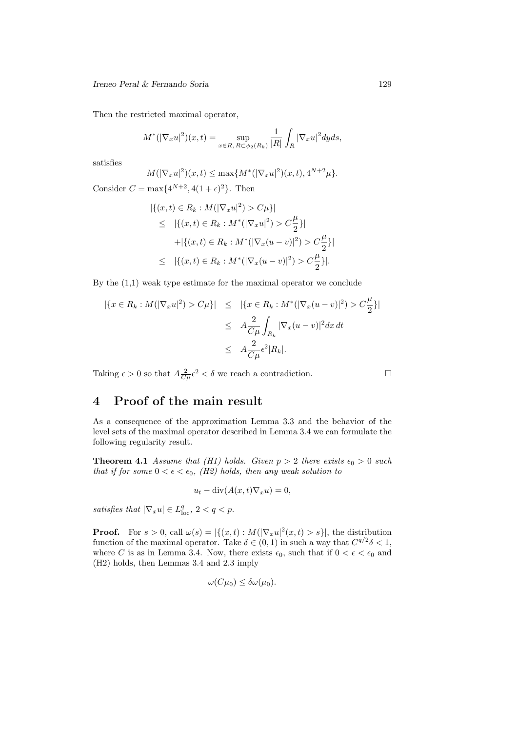Then the restricted maximal operator,

$$
M^{*}(|\nabla_{x} u|^{2})(x,t) = \sup_{x \in R, R \subset \phi_{2}(R_{k})} \frac{1}{|R|} \int_{R} |\nabla_{x} u|^{2} dyds,
$$

satisfies

$$
M(|\nabla_x u|^2)(x,t) \le \max\{M^*(|\nabla_x u|^2)(x,t), 4^{N+2}\mu\}.
$$

Consider  $C = \max\{4^{N+2}, 4(1+\epsilon)^2\}$ . Then

$$
|\{(x,t) \in R_k : M(|\nabla_x u|^2) > C\mu\}|
$$
  
\n
$$
\leq |\{(x,t) \in R_k : M^*(|\nabla_x u|^2) > C\frac{\mu}{2}\}|
$$
  
\n
$$
+ |\{(x,t) \in R_k : M^*(|\nabla_x (u-v)|^2) > C\frac{\mu}{2}\}|
$$
  
\n
$$
\leq |\{(x,t) \in R_k : M^*(|\nabla_x (u-v)|^2) > C\frac{\mu}{2}\}|.
$$

By the  $(1,1)$  weak type estimate for the maximal operator we conclude

$$
\begin{aligned} |\{x \in R_k : M(|\nabla_x u|^2) > C\mu\}| &\leq \quad |\{x \in R_k : M^*(|\nabla_x (u-v)|^2) > C\frac{\mu}{2}\}| \\ &\leq \quad A\frac{2}{C\mu} \int_{R_k} |\nabla_x (u-v)|^2 dx \, dt \\ &\leq \quad A\frac{2}{C\mu} \epsilon^2 |R_k|. \end{aligned}
$$

Taking  $\epsilon > 0$  so that  $A \frac{2}{C\mu} \epsilon^2 < \delta$  we reach a contradiction.

## 4 Proof of the main result

As a consequence of the approximation Lemma 3.3 and the behavior of the level sets of the maximal operator described in Lemma 3.4 we can formulate the following regularity result.

**Theorem 4.1** Assume that (H1) holds. Given  $p > 2$  there exists  $\epsilon_0 > 0$  such that if for some  $0 < \epsilon < \epsilon_0$ , (H2) holds, then any weak solution to

$$
u_t - \operatorname{div}(A(x,t)\nabla_x u) = 0,
$$

satisfies that  $|\nabla_x u| \in L^q_{loc}$ ,  $2 < q < p$ .

**Proof.** For  $s > 0$ , call  $\omega(s) = |\{(x, t) : M(|\nabla_x u|^2(x, t) > s\}|)$ , the distribution function of the maximal operator. Take  $\delta \in (0,1)$  in such a way that  $C^{q/2}\delta < 1$ , where C is as in Lemma 3.4. Now, there exists  $\epsilon_0$ , such that if  $0 < \epsilon < \epsilon_0$  and (H2) holds, then Lemmas 3.4 and 2.3 imply

$$
\omega(C\mu_0) \le \delta \omega(\mu_0).
$$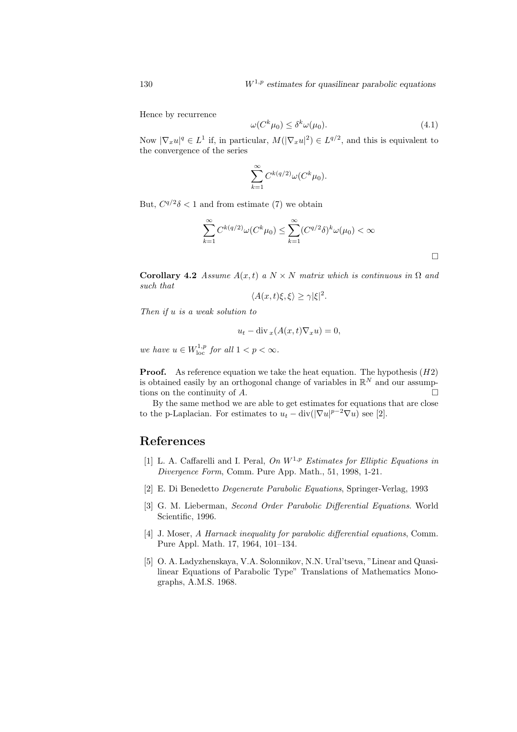Hence by recurrence

$$
\omega(C^k \mu_0) \le \delta^k \omega(\mu_0). \tag{4.1}
$$

Now  $|\nabla_x u|^q \in L^1$  if, in particular,  $M(|\nabla_x u|^2) \in L^{q/2}$ , and this is equivalent to the convergence of the series

$$
\sum_{k=1}^{\infty} C^{k(q/2)} \omega(C^k \mu_0).
$$

But,  $C^{q/2}\delta$  < 1 and from estimate (7) we obtain

$$
\sum_{k=1}^{\infty} C^{k(q/2)} \omega(C^k \mu_0) \leq \sum_{k=1}^{\infty} (C^{q/2} \delta)^k \omega(\mu_0) < \infty
$$

Corollary 4.2 Assume  $A(x, t)$  a  $N \times N$  matrix which is continuous in  $\Omega$  and such that

 $\langle A(x,t)\xi,\xi\rangle \geq \gamma |\xi|^2.$ 

Then if u is a weak solution to

$$
u_t - \operatorname{div}_x(A(x,t)\nabla_x u) = 0,
$$

we have  $u \in W^{1,p}_{loc}$  for all  $1 < p < \infty$ .

**Proof.** As reference equation we take the heat equation. The hypothesis  $(H2)$ is obtained easily by an orthogonal change of variables in  $\mathbb{R}^N$  and our assumptions on the continuity of  $A$ .

By the same method we are able to get estimates for equations that are close to the p-Laplacian. For estimates to  $u_t - \text{div}(|\nabla u|^{p-2}\nabla u)$  see [2].

## References

- [1] L. A. Caffarelli and I. Peral, On  $W^{1,p}$  Estimates for Elliptic Equations in Divergence Form, Comm. Pure App. Math., 51, 1998, 1-21.
- [2] E. Di Benedetto Degenerate Parabolic Equations, Springer-Verlag, 1993
- [3] G. M. Lieberman, Second Order Parabolic Differential Equations. World Scientific, 1996.
- [4] J. Moser, A Harnack inequality for parabolic differential equations, Comm. Pure Appl. Math. 17, 1964, 101–134.
- [5] O. A. Ladyzhenskaya, V.A. Solonnikov, N.N. Ural'tseva, "Linear and Quasilinear Equations of Parabolic Type" Translations of Mathematics Monographs, A.M.S. 1968.